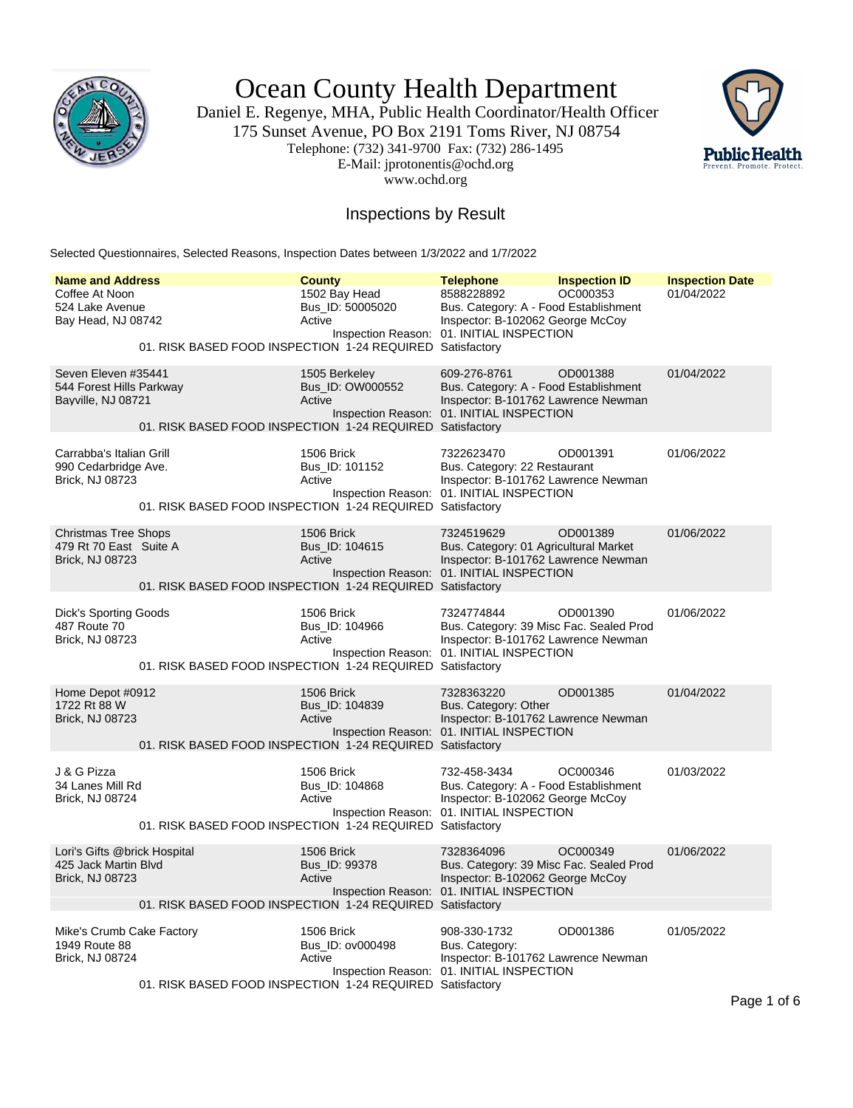

Ocean County Health Department

Daniel E. Regenye, MHA, Public Health Coordinator/Health Officer 175 Sunset Avenue, PO Box 2191 Toms River, NJ 08754 Telephone: (732) 341-9700 Fax: (732) 286-1495 E-Mail: jprotonentis@ochd.org www.ochd.org



### Inspections by Result

Selected Questionnaires, Selected Reasons, Inspection Dates between 1/3/2022 and 1/7/2022

| <b>Name and Address</b>                                                        |                                                           | <b>County</b>                                 | <b>Telephone</b>                                                                                                                          | <b>Inspection ID</b> | <b>Inspection Date</b> |
|--------------------------------------------------------------------------------|-----------------------------------------------------------|-----------------------------------------------|-------------------------------------------------------------------------------------------------------------------------------------------|----------------------|------------------------|
| Coffee At Noon<br>524 Lake Avenue<br>Bay Head, NJ 08742                        | 01. RISK BASED FOOD INSPECTION 1-24 REQUIRED Satisfactory | 1502 Bay Head<br>Bus ID: 50005020<br>Active   | 8588228892<br>Bus. Category: A - Food Establishment<br>Inspector: B-102062 George McCoy<br>Inspection Reason: 01. INITIAL INSPECTION      | OC000353             | 01/04/2022             |
| Seven Eleven #35441<br>544 Forest Hills Parkway<br>Bayville, NJ 08721          | 01. RISK BASED FOOD INSPECTION 1-24 REQUIRED Satisfactory | 1505 Berkeley<br>Bus_ID: OW000552<br>Active   | 609-276-8761<br>Bus. Category: A - Food Establishment<br>Inspector: B-101762 Lawrence Newman<br>Inspection Reason: 01. INITIAL INSPECTION | OD001388             | 01/04/2022             |
| Carrabba's Italian Grill<br>990 Cedarbridge Ave.<br>Brick, NJ 08723            | 01. RISK BASED FOOD INSPECTION 1-24 REQUIRED Satisfactory | 1506 Brick<br>Bus_ID: 101152<br>Active        | 7322623470<br>Bus. Category: 22 Restaurant<br>Inspector: B-101762 Lawrence Newman<br>Inspection Reason: 01. INITIAL INSPECTION            | OD001391             | 01/06/2022             |
| <b>Christmas Tree Shops</b><br>479 Rt 70 East Suite A<br>Brick, NJ 08723       | 01. RISK BASED FOOD INSPECTION 1-24 REQUIRED Satisfactory | <b>1506 Brick</b><br>Bus_ID: 104615<br>Active | 7324519629<br>Bus. Category: 01 Agricultural Market<br>Inspector: B-101762 Lawrence Newman<br>Inspection Reason: 01. INITIAL INSPECTION   | OD001389             | 01/06/2022             |
| <b>Dick's Sporting Goods</b><br>487 Route 70<br>Brick, NJ 08723                | 01. RISK BASED FOOD INSPECTION 1-24 REQUIRED Satisfactory | 1506 Brick<br>Bus_ID: 104966<br>Active        | 7324774844<br>Bus. Category: 39 Misc Fac. Sealed Prod<br>Inspector: B-101762 Lawrence Newman<br>Inspection Reason: 01. INITIAL INSPECTION | OD001390             | 01/06/2022             |
| Home Depot #0912<br>1722 Rt 88 W<br><b>Brick, NJ 08723</b>                     | 01. RISK BASED FOOD INSPECTION 1-24 REQUIRED Satisfactory | 1506 Brick<br>Bus_ID: 104839<br>Active        | 7328363220<br>Bus. Category: Other<br>Inspector: B-101762 Lawrence Newman<br>Inspection Reason: 01. INITIAL INSPECTION                    | OD001385             | 01/04/2022             |
| J & G Pizza<br>34 Lanes Mill Rd<br>Brick, NJ 08724                             | 01. RISK BASED FOOD INSPECTION 1-24 REQUIRED Satisfactory | 1506 Brick<br>Bus ID: 104868<br>Active        | 732-458-3434<br>Bus. Category: A - Food Establishment<br>Inspector: B-102062 George McCoy<br>Inspection Reason: 01. INITIAL INSPECTION    | OC000346             | 01/03/2022             |
| Lori's Gifts @brick Hospital<br>425 Jack Martin Blvd<br><b>Brick, NJ 08723</b> | 01. RISK BASED FOOD INSPECTION 1-24 REQUIRED Satisfactory | 1506 Brick<br>Bus_ID: 99378<br>Active         | 7328364096<br>Bus. Category: 39 Misc Fac. Sealed Prod<br>Inspector: B-102062 George McCoy<br>Inspection Reason: 01. INITIAL INSPECTION    | OC000349             | 01/06/2022             |
| Mike's Crumb Cake Factory<br>1949 Route 88<br>Brick, NJ 08724                  | 01. RISK BASED FOOD INSPECTION 1-24 REQUIRED Satisfactory | 1506 Brick<br>Bus_ID: ov000498<br>Active      | 908-330-1732<br>Bus. Category:<br>Inspector: B-101762 Lawrence Newman<br>Inspection Reason: 01. INITIAL INSPECTION                        | OD001386             | 01/05/2022             |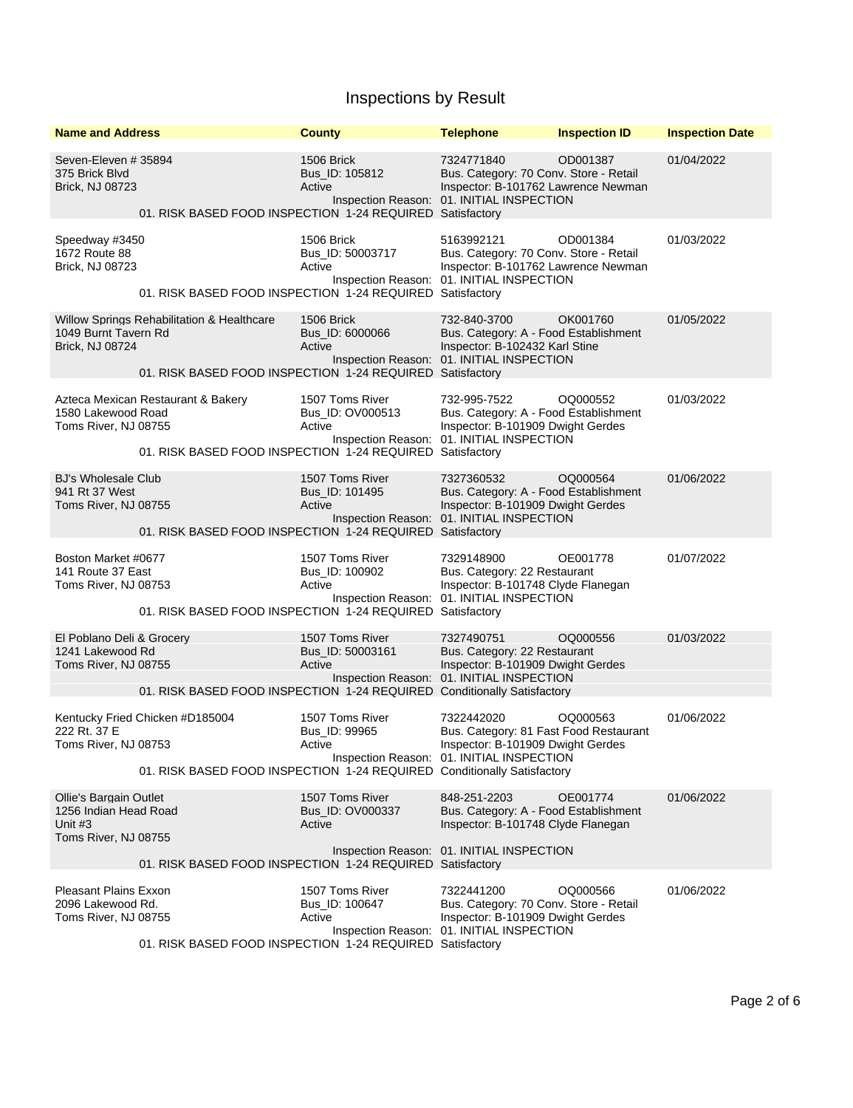| <b>Name and Address</b>                                                                     |                                                                                                                    | <b>County</b>                                 | <b>Telephone</b>                                                                                                                         | <b>Inspection ID</b> | <b>Inspection Date</b> |
|---------------------------------------------------------------------------------------------|--------------------------------------------------------------------------------------------------------------------|-----------------------------------------------|------------------------------------------------------------------------------------------------------------------------------------------|----------------------|------------------------|
| Seven-Eleven # 35894<br>375 Brick Blvd<br><b>Brick, NJ 08723</b>                            | 01. RISK BASED FOOD INSPECTION 1-24 REQUIRED Satisfactory                                                          | 1506 Brick<br>Bus_ID: 105812<br>Active        | 7324771840<br>Bus. Category: 70 Conv. Store - Retail<br>Inspector: B-101762 Lawrence Newman<br>Inspection Reason: 01. INITIAL INSPECTION | OD001387             | 01/04/2022             |
| Speedway #3450<br>1672 Route 88<br><b>Brick, NJ 08723</b>                                   | 01. RISK BASED FOOD INSPECTION 1-24 REQUIRED Satisfactory                                                          | 1506 Brick<br>Bus_ID: 50003717<br>Active      | 5163992121<br>Bus. Category: 70 Conv. Store - Retail<br>Inspector: B-101762 Lawrence Newman<br>Inspection Reason: 01. INITIAL INSPECTION | OD001384             | 01/03/2022             |
| 1049 Burnt Tavern Rd<br>Brick, NJ 08724                                                     | <b>Willow Springs Rehabilitation &amp; Healthcare</b><br>01. RISK BASED FOOD INSPECTION 1-24 REQUIRED Satisfactory | 1506 Brick<br>Bus_ID: 6000066<br>Active       | 732-840-3700<br>Bus. Category: A - Food Establishment<br>Inspector: B-102432 Karl Stine<br>Inspection Reason: 01. INITIAL INSPECTION     | OK001760             | 01/05/2022             |
| 1580 Lakewood Road<br>Toms River, NJ 08755                                                  | Azteca Mexican Restaurant & Bakery<br>01. RISK BASED FOOD INSPECTION 1-24 REQUIRED Satisfactory                    | 1507 Toms River<br>Bus ID: OV000513<br>Active | 732-995-7522<br>Bus. Category: A - Food Establishment<br>Inspector: B-101909 Dwight Gerdes<br>Inspection Reason: 01. INITIAL INSPECTION  | OQ000552             | 01/03/2022             |
| <b>BJ's Wholesale Club</b><br>941 Rt 37 West<br>Toms River, NJ 08755                        | 01. RISK BASED FOOD INSPECTION 1-24 REQUIRED Satisfactory                                                          | 1507 Toms River<br>Bus_ID: 101495<br>Active   | 7327360532<br>Bus. Category: A - Food Establishment<br>Inspector: B-101909 Dwight Gerdes<br>Inspection Reason: 01. INITIAL INSPECTION    | OQ000564             | 01/06/2022             |
| Boston Market #0677<br>141 Route 37 East<br>Toms River, NJ 08753                            | 01. RISK BASED FOOD INSPECTION 1-24 REQUIRED Satisfactory                                                          | 1507 Toms River<br>Bus_ID: 100902<br>Active   | 7329148900<br>Bus. Category: 22 Restaurant<br>Inspector: B-101748 Clyde Flanegan<br>Inspection Reason: 01. INITIAL INSPECTION            | OE001778             | 01/07/2022             |
| El Poblano Deli & Grocery<br>1241 Lakewood Rd<br>Toms River, NJ 08755                       | 01. RISK BASED FOOD INSPECTION 1-24 REQUIRED Conditionally Satisfactory                                            | 1507 Toms River<br>Bus_ID: 50003161<br>Active | 7327490751<br>Bus. Category: 22 Restaurant<br>Inspector: B-101909 Dwight Gerdes<br>Inspection Reason: 01. INITIAL INSPECTION             | OQ000556             | 01/03/2022             |
| 222 Rt. 37 E<br>Toms River, NJ 08753                                                        | Kentucky Fried Chicken #D185004<br>01. RISK BASED FOOD INSPECTION 1-24 REQUIRED Conditionally Satisfactory         | 1507 Toms River<br>Bus_ID: 99965<br>Active    | 7322442020<br>Bus. Category: 81 Fast Food Restaurant<br>Inspector: B-101909 Dwight Gerdes<br>Inspection Reason: 01. INITIAL INSPECTION   | OQ000563             | 01/06/2022             |
| <b>Ollie's Bargain Outlet</b><br>1256 Indian Head Road<br>Unit $#3$<br>Toms River, NJ 08755 | 01. RISK BASED FOOD INSPECTION 1-24 REQUIRED Satisfactory                                                          | 1507 Toms River<br>Bus ID: OV000337<br>Active | 848-251-2203<br>Bus. Category: A - Food Establishment<br>Inspector: B-101748 Clyde Flanegan<br>Inspection Reason: 01. INITIAL INSPECTION | OE001774             | 01/06/2022             |
| <b>Pleasant Plains Exxon</b><br>2096 Lakewood Rd.<br>Toms River, NJ 08755                   | 01. RISK BASED FOOD INSPECTION 1-24 REQUIRED Satisfactory                                                          | 1507 Toms River<br>Bus_ID: 100647<br>Active   | 7322441200<br>Bus. Category: 70 Conv. Store - Retail<br>Inspector: B-101909 Dwight Gerdes<br>Inspection Reason: 01. INITIAL INSPECTION   | OQ000566             | 01/06/2022             |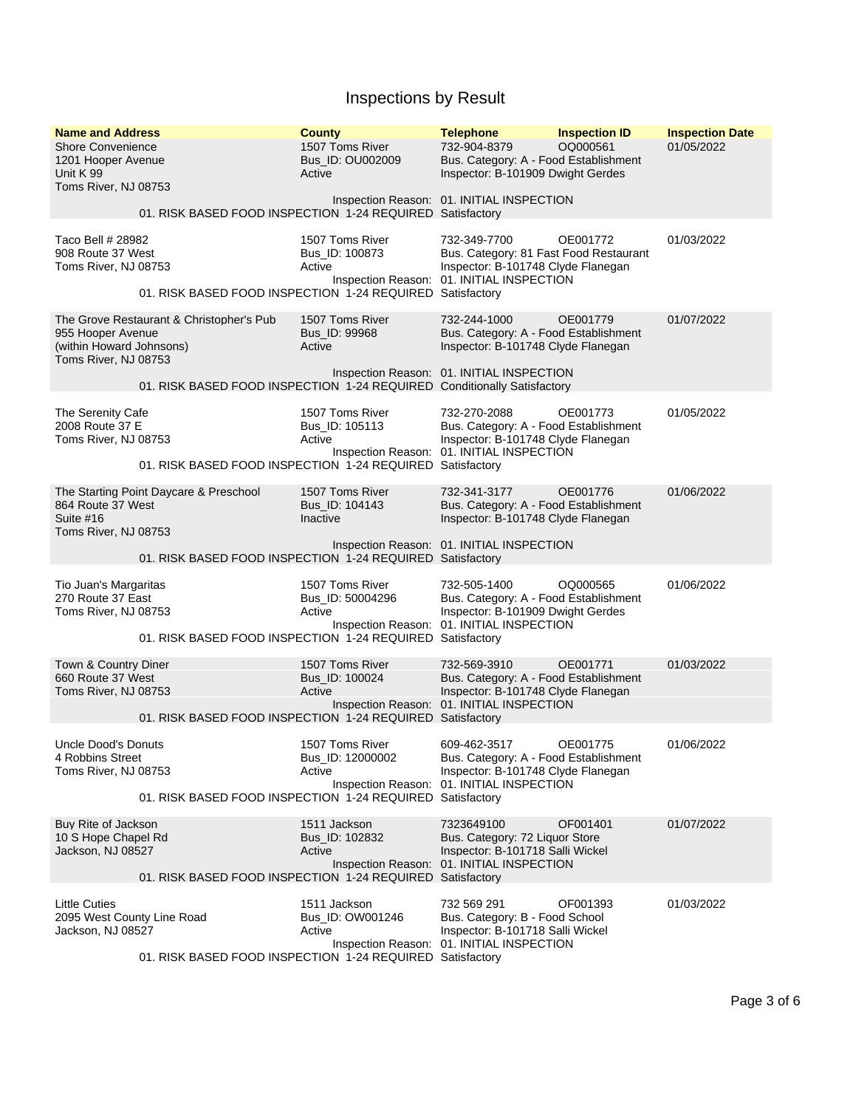| <b>Name and Address</b><br><b>Shore Convenience</b><br>1201 Hooper Avenue<br>Unit K 99<br>Toms River, NJ 08753 |                                                                                                                     | <b>County</b><br>1507 Toms River<br>Bus ID: OU002009<br>Active | <b>Telephone</b><br>732-904-8379<br>Bus. Category: A - Food Establishment<br>Inspector: B-101909 Dwight Gerdes                            | <b>Inspection ID</b><br>OQ000561 | <b>Inspection Date</b><br>01/05/2022 |
|----------------------------------------------------------------------------------------------------------------|---------------------------------------------------------------------------------------------------------------------|----------------------------------------------------------------|-------------------------------------------------------------------------------------------------------------------------------------------|----------------------------------|--------------------------------------|
|                                                                                                                | 01. RISK BASED FOOD INSPECTION 1-24 REQUIRED Satisfactory                                                           |                                                                | Inspection Reason: 01. INITIAL INSPECTION                                                                                                 |                                  |                                      |
| Taco Bell # 28982<br>908 Route 37 West<br>Toms River, NJ 08753                                                 | 01. RISK BASED FOOD INSPECTION 1-24 REQUIRED Satisfactory                                                           | 1507 Toms River<br>Bus_ID: 100873<br>Active                    | 732-349-7700<br>Bus. Category: 81 Fast Food Restaurant<br>Inspector: B-101748 Clyde Flanegan<br>Inspection Reason: 01. INITIAL INSPECTION | OE001772                         | 01/03/2022                           |
| 955 Hooper Avenue<br>(within Howard Johnsons)<br>Toms River, NJ 08753                                          | The Grove Restaurant & Christopher's Pub<br>01. RISK BASED FOOD INSPECTION 1-24 REQUIRED Conditionally Satisfactory | 1507 Toms River<br>Bus_ID: 99968<br>Active                     | 732-244-1000<br>Bus. Category: A - Food Establishment<br>Inspector: B-101748 Clyde Flanegan<br>Inspection Reason: 01. INITIAL INSPECTION  | OE001779                         | 01/07/2022                           |
| The Serenity Cafe<br>2008 Route 37 E<br>Toms River, NJ 08753                                                   | 01. RISK BASED FOOD INSPECTION 1-24 REQUIRED Satisfactory                                                           | 1507 Toms River<br>Bus_ID: 105113<br>Active                    | 732-270-2088<br>Bus. Category: A - Food Establishment<br>Inspector: B-101748 Clyde Flanegan<br>Inspection Reason: 01. INITIAL INSPECTION  | OE001773                         | 01/05/2022                           |
| 864 Route 37 West<br>Suite #16<br>Toms River, NJ 08753                                                         | The Starting Point Daycare & Preschool<br>01. RISK BASED FOOD INSPECTION 1-24 REQUIRED Satisfactory                 | 1507 Toms River<br>Bus_ID: 104143<br>Inactive                  | 732-341-3177<br>Bus. Category: A - Food Establishment<br>Inspector: B-101748 Clyde Flanegan<br>Inspection Reason: 01. INITIAL INSPECTION  | OE001776                         | 01/06/2022                           |
| Tio Juan's Margaritas<br>270 Route 37 East<br>Toms River, NJ 08753                                             | 01. RISK BASED FOOD INSPECTION 1-24 REQUIRED Satisfactory                                                           | 1507 Toms River<br>Bus_ID: 50004296<br>Active                  | 732-505-1400<br>Bus. Category: A - Food Establishment<br>Inspector: B-101909 Dwight Gerdes<br>Inspection Reason: 01. INITIAL INSPECTION   | OQ000565                         | 01/06/2022                           |
| Town & Country Diner<br>660 Route 37 West<br>Toms River, NJ 08753                                              | 01. RISK BASED FOOD INSPECTION 1-24 REQUIRED Satisfactory                                                           | 1507 Toms River<br>Bus_ID: 100024<br>Active                    | 732-569-3910<br>Bus. Category: A - Food Establishment<br>Inspector: B-101748 Clyde Flanegan<br>Inspection Reason: 01. INITIAL INSPECTION  | OE001771                         | 01/03/2022                           |
| Uncle Dood's Donuts<br>4 Robbins Street<br>Toms River, NJ 08753                                                | 01. RISK BASED FOOD INSPECTION 1-24 REQUIRED Satisfactory                                                           | 1507 Toms River<br>Bus_ID: 12000002<br>Active                  | 609-462-3517<br>Bus. Category: A - Food Establishment<br>Inspector: B-101748 Clyde Flanegan<br>Inspection Reason: 01. INITIAL INSPECTION  | OE001775                         | 01/06/2022                           |
| Buy Rite of Jackson<br>10 S Hope Chapel Rd<br>Jackson, NJ 08527                                                | 01. RISK BASED FOOD INSPECTION 1-24 REQUIRED Satisfactory                                                           | 1511 Jackson<br>Bus_ID: 102832<br>Active                       | 7323649100<br>Bus. Category: 72 Liquor Store<br>Inspector: B-101718 Salli Wickel<br>Inspection Reason: 01. INITIAL INSPECTION             | OF001401                         | 01/07/2022                           |
| Little Cuties<br>2095 West County Line Road<br>Jackson, NJ 08527                                               | 01. RISK BASED FOOD INSPECTION 1-24 REQUIRED Satisfactory                                                           | 1511 Jackson<br>Bus ID: OW001246<br>Active                     | 732 569 291<br>Bus. Category: B - Food School<br>Inspector: B-101718 Salli Wickel<br>Inspection Reason: 01. INITIAL INSPECTION            | OF001393                         | 01/03/2022                           |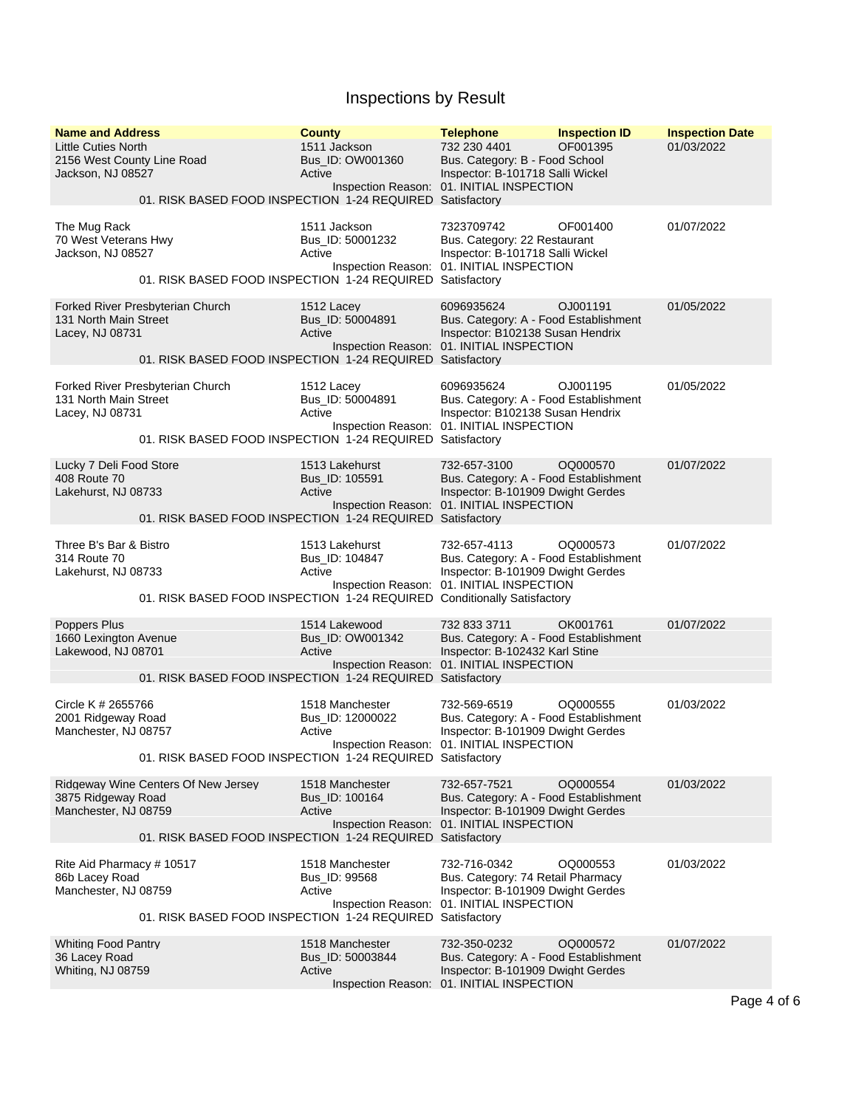| <b>Name and Address</b><br><b>Little Cuties North</b><br>2156 West County Line Road<br>Jackson, NJ 08527 | 01. RISK BASED FOOD INSPECTION 1-24 REQUIRED Satisfactory                                        | <b>County</b><br>1511 Jackson<br>Bus_ID: OW001360<br>Active | <b>Telephone</b><br>732 230 4401<br>Bus. Category: B - Food School<br>Inspector: B-101718 Salli Wickel<br>Inspection Reason: 01. INITIAL INSPECTION | <b>Inspection ID</b><br>OF001395 | <b>Inspection Date</b><br>01/03/2022 |
|----------------------------------------------------------------------------------------------------------|--------------------------------------------------------------------------------------------------|-------------------------------------------------------------|-----------------------------------------------------------------------------------------------------------------------------------------------------|----------------------------------|--------------------------------------|
| The Mug Rack<br>70 West Veterans Hwy<br>Jackson, NJ 08527                                                | 01. RISK BASED FOOD INSPECTION 1-24 REQUIRED Satisfactory                                        | 1511 Jackson<br>Bus_ID: 50001232<br>Active                  | 7323709742<br>Bus. Category: 22 Restaurant<br>Inspector: B-101718 Salli Wickel<br>Inspection Reason: 01. INITIAL INSPECTION                         | OF001400                         | 01/07/2022                           |
| 131 North Main Street<br>Lacey, NJ 08731                                                                 | Forked River Presbyterian Church<br>01. RISK BASED FOOD INSPECTION 1-24 REQUIRED Satisfactory    | 1512 Lacev<br>Bus_ID: 50004891<br>Active                    | 6096935624<br>Bus. Category: A - Food Establishment<br>Inspector: B102138 Susan Hendrix<br>Inspection Reason: 01. INITIAL INSPECTION                | OJ001191                         | 01/05/2022                           |
| 131 North Main Street<br>Lacey, NJ 08731                                                                 | Forked River Presbyterian Church<br>01. RISK BASED FOOD INSPECTION 1-24 REQUIRED Satisfactory    | 1512 Lacey<br>Bus_ID: 50004891<br>Active                    | 6096935624<br>Bus. Category: A - Food Establishment<br>Inspector: B102138 Susan Hendrix<br>Inspection Reason: 01. INITIAL INSPECTION                | OJ001195                         | 01/05/2022                           |
| Lucky 7 Deli Food Store<br>408 Route 70<br>Lakehurst, NJ 08733                                           | 01. RISK BASED FOOD INSPECTION 1-24 REQUIRED Satisfactory                                        | 1513 Lakehurst<br>Bus ID: 105591<br>Active                  | 732-657-3100<br>Bus. Category: A - Food Establishment<br>Inspector: B-101909 Dwight Gerdes<br>Inspection Reason: 01. INITIAL INSPECTION             | OQ000570                         | 01/07/2022                           |
| Three B's Bar & Bistro<br>314 Route 70<br>Lakehurst, NJ 08733                                            | 01. RISK BASED FOOD INSPECTION 1-24 REQUIRED Conditionally Satisfactory                          | 1513 Lakehurst<br>Bus_ID: 104847<br>Active                  | 732-657-4113<br>Bus. Category: A - Food Establishment<br>Inspector: B-101909 Dwight Gerdes<br>Inspection Reason: 01. INITIAL INSPECTION             | OQ000573                         | 01/07/2022                           |
| Poppers Plus<br>1660 Lexington Avenue<br>Lakewood, NJ 08701                                              | 01. RISK BASED FOOD INSPECTION 1-24 REQUIRED Satisfactory                                        | 1514 Lakewood<br>Bus_ID: OW001342<br>Active                 | 732 833 3711<br>Bus. Category: A - Food Establishment<br>Inspector: B-102432 Karl Stine<br>Inspection Reason: 01. INITIAL INSPECTION                | OK001761                         | 01/07/2022                           |
| Circle K # 2655766<br>2001 Ridgeway Road<br>Manchester, NJ 08757                                         | 01. RISK BASED FOOD INSPECTION 1-24 REQUIRED Satisfactory                                        | 1518 Manchester<br>Bus_ID: 12000022<br>Active               | 732-569-6519<br>Bus. Category: A - Food Establishment<br>Inspector: B-101909 Dwight Gerdes<br>Inspection Reason: 01. INITIAL INSPECTION             | OQ000555                         | 01/03/2022                           |
| 3875 Ridgeway Road<br>Manchester, NJ 08759                                                               | Ridgeway Wine Centers Of New Jersey<br>01. RISK BASED FOOD INSPECTION 1-24 REQUIRED Satisfactory | 1518 Manchester<br>Bus_ID: 100164<br>Active                 | 732-657-7521<br>Bus. Category: A - Food Establishment<br>Inspector: B-101909 Dwight Gerdes<br>Inspection Reason: 01. INITIAL INSPECTION             | OQ000554                         | 01/03/2022                           |
| Rite Aid Pharmacy # 10517<br>86b Lacey Road<br>Manchester, NJ 08759                                      | 01. RISK BASED FOOD INSPECTION 1-24 REQUIRED Satisfactory                                        | 1518 Manchester<br>Bus_ID: 99568<br>Active                  | 732-716-0342<br>Bus. Category: 74 Retail Pharmacy<br>Inspector: B-101909 Dwight Gerdes<br>Inspection Reason: 01. INITIAL INSPECTION                 | OQ000553                         | 01/03/2022                           |
| <b>Whiting Food Pantry</b><br>36 Lacey Road<br>Whiting, NJ 08759                                         |                                                                                                  | 1518 Manchester<br>Bus_ID: 50003844<br>Active               | 732-350-0232<br>Bus. Category: A - Food Establishment<br>Inspector: B-101909 Dwight Gerdes<br>Inspection Reason: 01. INITIAL INSPECTION             | OQ000572                         | 01/07/2022                           |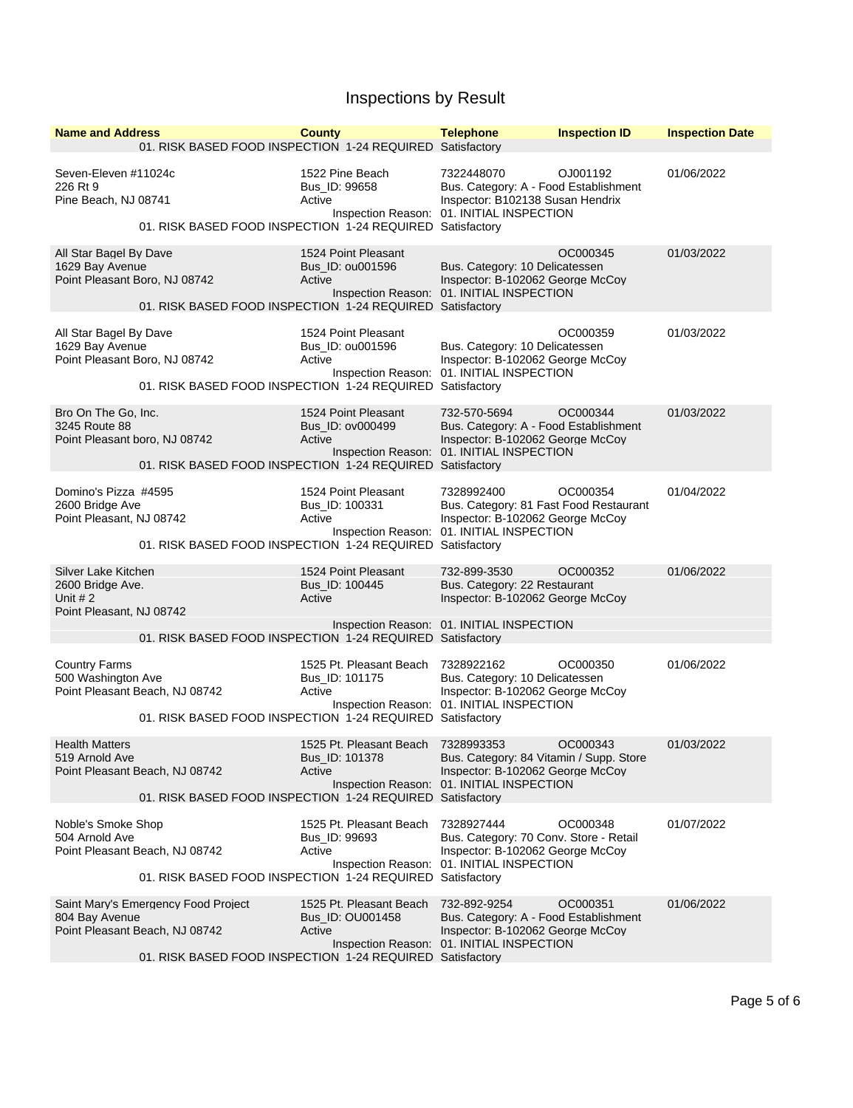| <b>Name and Address</b><br>01. RISK BASED FOOD INSPECTION 1-24 REQUIRED Satisfactory                                                                 | <b>County</b>                                         | <b>Telephone</b>                                                                                                                       | <b>Inspection ID</b> | <b>Inspection Date</b> |
|------------------------------------------------------------------------------------------------------------------------------------------------------|-------------------------------------------------------|----------------------------------------------------------------------------------------------------------------------------------------|----------------------|------------------------|
| Seven-Eleven #11024c<br>226 Rt 9<br>Pine Beach, NJ 08741<br>01. RISK BASED FOOD INSPECTION 1-24 REQUIRED Satisfactory                                | 1522 Pine Beach<br>Bus_ID: 99658<br>Active            | 7322448070<br>Bus. Category: A - Food Establishment<br>Inspector: B102138 Susan Hendrix<br>Inspection Reason: 01. INITIAL INSPECTION   | OJ001192             | 01/06/2022             |
| All Star Bagel By Dave<br>1629 Bay Avenue<br>Point Pleasant Boro, NJ 08742<br>01. RISK BASED FOOD INSPECTION 1-24 REQUIRED Satisfactory              | 1524 Point Pleasant<br>Bus_ID: 0u001596<br>Active     | Bus. Category: 10 Delicatessen<br>Inspector: B-102062 George McCoy<br>Inspection Reason: 01. INITIAL INSPECTION                        | OC000345             | 01/03/2022             |
| All Star Bagel By Dave<br>1629 Bay Avenue<br>Point Pleasant Boro, NJ 08742<br>01. RISK BASED FOOD INSPECTION 1-24 REQUIRED Satisfactory              | 1524 Point Pleasant<br>Bus_ID: 0u001596<br>Active     | Bus. Category: 10 Delicatessen<br>Inspector: B-102062 George McCoy<br>Inspection Reason: 01. INITIAL INSPECTION                        | OC000359             | 01/03/2022             |
| Bro On The Go. Inc.<br>3245 Route 88<br>Point Pleasant boro, NJ 08742<br>01. RISK BASED FOOD INSPECTION 1-24 REQUIRED Satisfactory                   | 1524 Point Pleasant<br>Bus_ID: ov000499<br>Active     | 732-570-5694<br>Bus. Category: A - Food Establishment<br>Inspector: B-102062 George McCoy<br>Inspection Reason: 01. INITIAL INSPECTION | OC000344             | 01/03/2022             |
| Domino's Pizza #4595<br>2600 Bridge Ave<br>Point Pleasant, NJ 08742<br>01. RISK BASED FOOD INSPECTION 1-24 REQUIRED Satisfactory                     | 1524 Point Pleasant<br>Bus_ID: 100331<br>Active       | 7328992400<br>Bus. Category: 81 Fast Food Restaurant<br>Inspector: B-102062 George McCoy<br>Inspection Reason: 01. INITIAL INSPECTION  | OC000354             | 01/04/2022             |
| Silver Lake Kitchen<br>2600 Bridge Ave.<br>Unit $#2$<br>Point Pleasant, NJ 08742<br>01. RISK BASED FOOD INSPECTION 1-24 REQUIRED Satisfactory        | 1524 Point Pleasant<br>Bus_ID: 100445<br>Active       | 732-899-3530<br>Bus. Category: 22 Restaurant<br>Inspector: B-102062 George McCoy<br>Inspection Reason: 01. INITIAL INSPECTION          | OC000352             | 01/06/2022             |
| <b>Country Farms</b><br>500 Washington Ave<br>Point Pleasant Beach, NJ 08742<br>01. RISK BASED FOOD INSPECTION 1-24 REQUIRED Satisfactory            | 1525 Pt. Pleasant Beach<br>Bus_ID: 101175<br>Active   | 7328922162<br>Bus. Category: 10 Delicatessen<br>Inspector: B-102062 George McCoy<br>Inspection Reason: 01. INITIAL INSPECTION          | OC000350             | 01/06/2022             |
| <b>Health Matters</b><br>519 Arnold Ave<br>Point Pleasant Beach, NJ 08742<br>01. RISK BASED FOOD INSPECTION 1-24 REQUIRED Satisfactory               | 1525 Pt. Pleasant Beach<br>Bus_ID: 101378<br>Active   | 7328993353<br>Bus. Category: 84 Vitamin / Supp. Store<br>Inspector: B-102062 George McCoy<br>Inspection Reason: 01. INITIAL INSPECTION | OC000343             | 01/03/2022             |
| Noble's Smoke Shop<br>504 Arnold Ave<br>Point Pleasant Beach, NJ 08742<br>01. RISK BASED FOOD INSPECTION 1-24 REQUIRED Satisfactory                  | 1525 Pt. Pleasant Beach<br>Bus_ID: 99693<br>Active    | 7328927444<br>Bus. Category: 70 Conv. Store - Retail<br>Inspector: B-102062 George McCoy<br>Inspection Reason: 01. INITIAL INSPECTION  | OC000348             | 01/07/2022             |
| Saint Mary's Emergency Food Project<br>804 Bay Avenue<br>Point Pleasant Beach, NJ 08742<br>01. RISK BASED FOOD INSPECTION 1-24 REQUIRED Satisfactory | 1525 Pt. Pleasant Beach<br>Bus_ID: OU001458<br>Active | 732-892-9254<br>Bus. Category: A - Food Establishment<br>Inspector: B-102062 George McCoy<br>Inspection Reason: 01. INITIAL INSPECTION | OC000351             | 01/06/2022             |